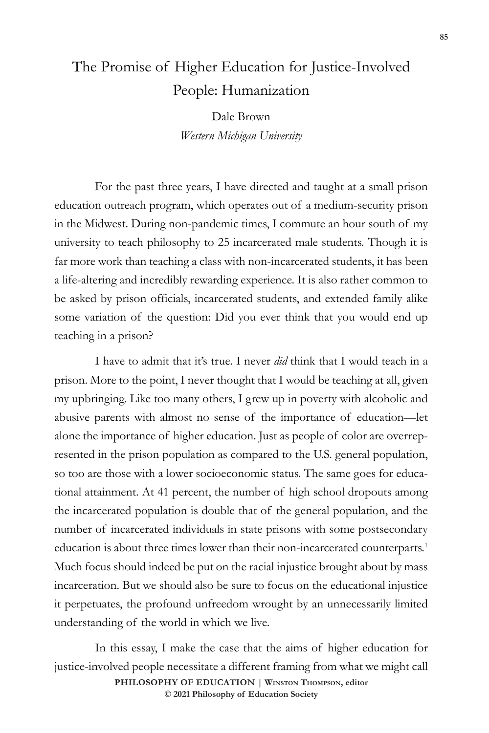# The Promise of Higher Education for Justice-Involved People: Humanization

Dale Brown *Western Michigan University*

For the past three years, I have directed and taught at a small prison education outreach program, which operates out of a medium-security prison in the Midwest. During non-pandemic times, I commute an hour south of my university to teach philosophy to 25 incarcerated male students. Though it is far more work than teaching a class with non-incarcerated students, it has been a life-altering and incredibly rewarding experience. It is also rather common to be asked by prison officials, incarcerated students, and extended family alike some variation of the question: Did you ever think that you would end up teaching in a prison?

I have to admit that it's true. I never *did* think that I would teach in a prison. More to the point, I never thought that I would be teaching at all, given my upbringing. Like too many others, I grew up in poverty with alcoholic and abusive parents with almost no sense of the importance of education—let alone the importance of higher education. Just as people of color are overrepresented in the prison population as compared to the U.S. general population, so too are those with a lower socioeconomic status. The same goes for educational attainment. At 41 percent, the number of high school dropouts among the incarcerated population is double that of the general population, and the number of incarcerated individuals in state prisons with some postsecondary education is about three times lower than their non-incarcerated counterparts.<sup>1</sup> Much focus should indeed be put on the racial injustice brought about by mass incarceration. But we should also be sure to focus on the educational injustice it perpetuates, the profound unfreedom wrought by an unnecessarily limited understanding of the world in which we live.

**PHILOSOPHY OF EDUCATION | Winston Thompson, editor**  In this essay, I make the case that the aims of higher education for justice-involved people necessitate a different framing from what we might call

**© 2021 Philosophy of Education Society**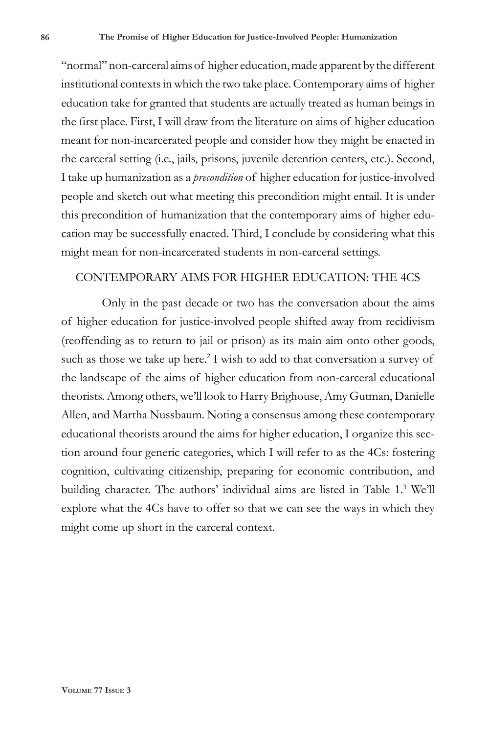"normal" non-carceral aims of higher education, made apparent by the different institutional contexts in which the two take place. Contemporary aims of higher education take for granted that students are actually treated as human beings in the first place. First, I will draw from the literature on aims of higher education meant for non-incarcerated people and consider how they might be enacted in the carceral setting (i.e., jails, prisons, juvenile detention centers, etc.). Second, I take up humanization as a *precondition* of higher education for justice-involved people and sketch out what meeting this precondition might entail. It is under this precondition of humanization that the contemporary aims of higher education may be successfully enacted. Third, I conclude by considering what this might mean for non-incarcerated students in non-carceral settings.

# CONTEMPORARY AIMS FOR HIGHER EDUCATION: THE 4CS

Only in the past decade or two has the conversation about the aims of higher education for justice-involved people shifted away from recidivism (reoffending as to return to jail or prison) as its main aim onto other goods, such as those we take up here.<sup>2</sup> I wish to add to that conversation a survey of the landscape of the aims of higher education from non-carceral educational theorists. Among others, we'll look to Harry Brighouse, Amy Gutman, Danielle Allen, and Martha Nussbaum. Noting a consensus among these contemporary educational theorists around the aims for higher education, I organize this section around four generic categories, which I will refer to as the 4Cs: fostering cognition, cultivating citizenship, preparing for economic contribution, and building character. The authors' individual aims are listed in Table 1.3 We'll explore what the 4Cs have to offer so that we can see the ways in which they might come up short in the carceral context.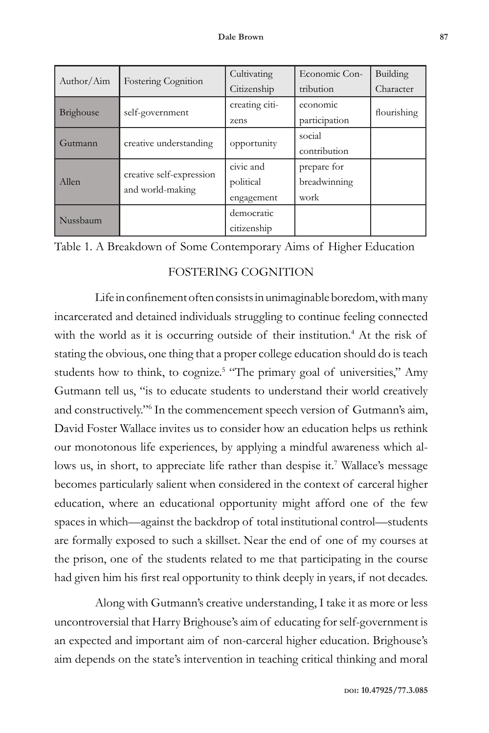| Author/Aim | <b>Fostering Cognition</b>                   | Cultivating    | Economic Con- | Building    |
|------------|----------------------------------------------|----------------|---------------|-------------|
|            |                                              | Citizenship    | tribution     | Character   |
| Brighouse  | self-government                              | creating citi- | economic      | flourishing |
|            |                                              | zens           | participation |             |
| Gutmann    | creative understanding                       | opportunity    | social        |             |
|            |                                              |                | contribution  |             |
| Allen      | creative self-expression<br>and world-making | civic and      | prepare for   |             |
|            |                                              | political      | breadwinning  |             |
|            |                                              | engagement     | work          |             |
| Nussbaum   |                                              | democratic     |               |             |
|            |                                              | citizenship    |               |             |

Table 1. A Breakdown of Some Contemporary Aims of Higher Education

## FOSTERING COGNITION

Life in confinement often consists in unimaginable boredom, with many incarcerated and detained individuals struggling to continue feeling connected with the world as it is occurring outside of their institution.<sup>4</sup> At the risk of stating the obvious, one thing that a proper college education should do is teach students how to think, to cognize.<sup>5</sup> "The primary goal of universities," Amy Gutmann tell us, "is to educate students to understand their world creatively and constructively."6 In the commencement speech version of Gutmann's aim, David Foster Wallace invites us to consider how an education helps us rethink our monotonous life experiences, by applying a mindful awareness which allows us, in short, to appreciate life rather than despise it.<sup>7</sup> Wallace's message becomes particularly salient when considered in the context of carceral higher education, where an educational opportunity might afford one of the few spaces in which—against the backdrop of total institutional control—students are formally exposed to such a skillset. Near the end of one of my courses at the prison, one of the students related to me that participating in the course had given him his first real opportunity to think deeply in years, if not decades.

Along with Gutmann's creative understanding, I take it as more or less uncontroversial that Harry Brighouse's aim of educating for self-government is an expected and important aim of non-carceral higher education. Brighouse's aim depends on the state's intervention in teaching critical thinking and moral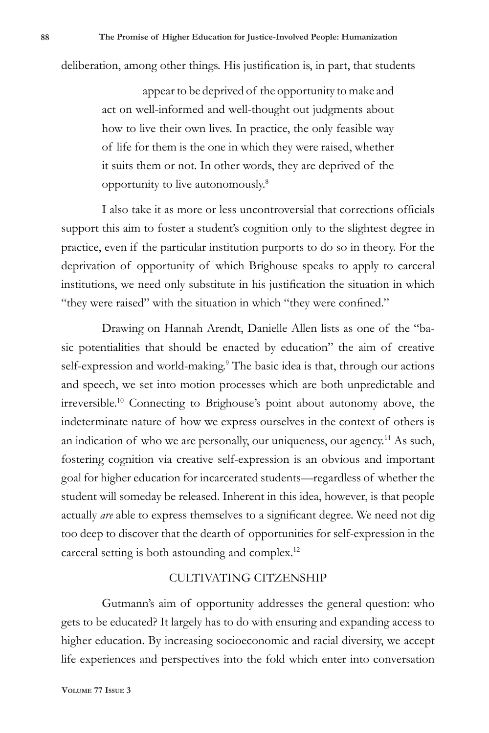deliberation, among other things. His justification is, in part, that students

appear to be deprived of the opportunity to make and act on well-informed and well-thought out judgments about how to live their own lives. In practice, the only feasible way of life for them is the one in which they were raised, whether it suits them or not. In other words, they are deprived of the opportunity to live autonomously.8

I also take it as more or less uncontroversial that corrections officials support this aim to foster a student's cognition only to the slightest degree in practice, even if the particular institution purports to do so in theory. For the deprivation of opportunity of which Brighouse speaks to apply to carceral institutions, we need only substitute in his justification the situation in which "they were raised" with the situation in which "they were confined."

Drawing on Hannah Arendt, Danielle Allen lists as one of the "basic potentialities that should be enacted by education" the aim of creative self-expression and world-making.<sup>9</sup> The basic idea is that, through our actions and speech, we set into motion processes which are both unpredictable and irreversible.10 Connecting to Brighouse's point about autonomy above, the indeterminate nature of how we express ourselves in the context of others is an indication of who we are personally, our uniqueness, our agency.<sup>11</sup> As such, fostering cognition via creative self-expression is an obvious and important goal for higher education for incarcerated students—regardless of whether the student will someday be released. Inherent in this idea, however, is that people actually *are* able to express themselves to a significant degree. We need not dig too deep to discover that the dearth of opportunities for self-expression in the carceral setting is both astounding and complex.12

### CULTIVATING CITZENSHIP

Gutmann's aim of opportunity addresses the general question: who gets to be educated? It largely has to do with ensuring and expanding access to higher education. By increasing socioeconomic and racial diversity, we accept life experiences and perspectives into the fold which enter into conversation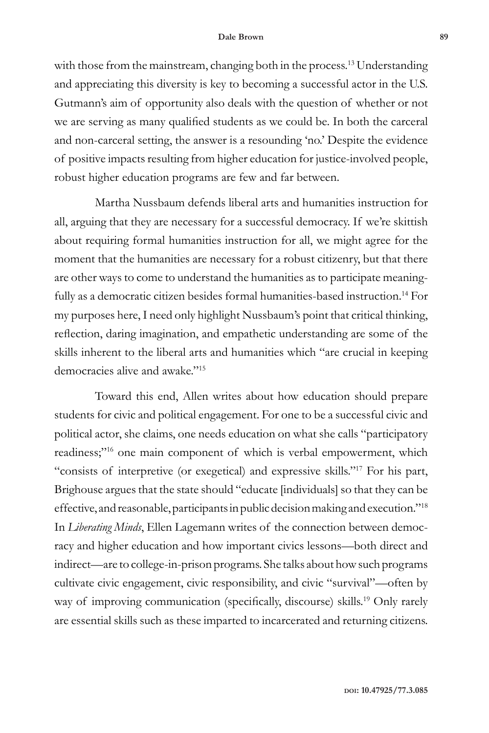#### **Dale Brown 89**

with those from the mainstream, changing both in the process.<sup>13</sup> Understanding and appreciating this diversity is key to becoming a successful actor in the U.S. Gutmann's aim of opportunity also deals with the question of whether or not we are serving as many qualified students as we could be. In both the carceral and non-carceral setting, the answer is a resounding 'no.' Despite the evidence of positive impacts resulting from higher education for justice-involved people, robust higher education programs are few and far between.

Martha Nussbaum defends liberal arts and humanities instruction for all, arguing that they are necessary for a successful democracy. If we're skittish about requiring formal humanities instruction for all, we might agree for the moment that the humanities are necessary for a robust citizenry, but that there are other ways to come to understand the humanities as to participate meaningfully as a democratic citizen besides formal humanities-based instruction.<sup>14</sup> For my purposes here, I need only highlight Nussbaum's point that critical thinking, reflection, daring imagination, and empathetic understanding are some of the skills inherent to the liberal arts and humanities which "are crucial in keeping democracies alive and awake."15

Toward this end, Allen writes about how education should prepare students for civic and political engagement. For one to be a successful civic and political actor, she claims, one needs education on what she calls "participatory readiness;"<sup>16</sup> one main component of which is verbal empowerment, which "consists of interpretive (or exegetical) and expressive skills."17 For his part, Brighouse argues that the state should "educate [individuals] so that they can be effective, and reasonable, participants in public decision making and execution."18 In *Liberating Minds*, Ellen Lagemann writes of the connection between democracy and higher education and how important civics lessons—both direct and indirect—are to college-in-prison programs. She talks about how such programs cultivate civic engagement, civic responsibility, and civic "survival"—often by way of improving communication (specifically, discourse) skills.<sup>19</sup> Only rarely are essential skills such as these imparted to incarcerated and returning citizens.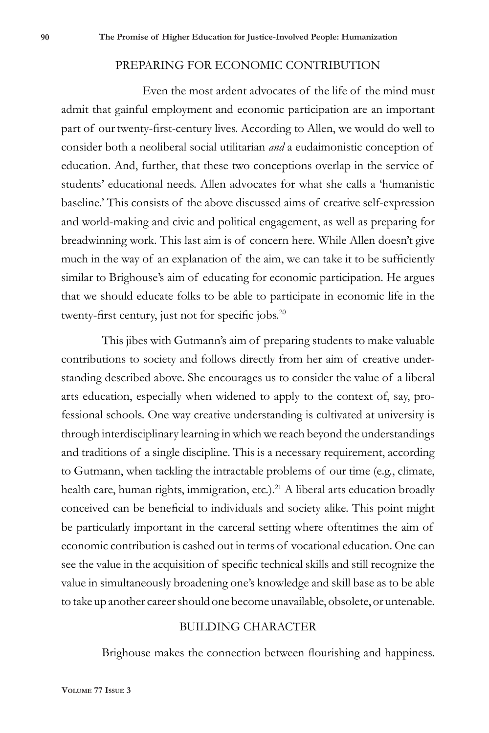#### PREPARING FOR ECONOMIC CONTRIBUTION

Even the most ardent advocates of the life of the mind must admit that gainful employment and economic participation are an important part of our twenty-first-century lives. According to Allen, we would do well to consider both a neoliberal social utilitarian *and* a eudaimonistic conception of education. And, further, that these two conceptions overlap in the service of students' educational needs. Allen advocates for what she calls a 'humanistic baseline.' This consists of the above discussed aims of creative self-expression and world-making and civic and political engagement, as well as preparing for breadwinning work. This last aim is of concern here. While Allen doesn't give much in the way of an explanation of the aim, we can take it to be sufficiently similar to Brighouse's aim of educating for economic participation. He argues that we should educate folks to be able to participate in economic life in the twenty-first century, just not for specific jobs.<sup>20</sup>

This jibes with Gutmann's aim of preparing students to make valuable contributions to society and follows directly from her aim of creative understanding described above. She encourages us to consider the value of a liberal arts education, especially when widened to apply to the context of, say, professional schools. One way creative understanding is cultivated at university is through interdisciplinary learning in which we reach beyond the understandings and traditions of a single discipline. This is a necessary requirement, according to Gutmann, when tackling the intractable problems of our time (e.g., climate, health care, human rights, immigration, etc.).<sup>21</sup> A liberal arts education broadly conceived can be beneficial to individuals and society alike. This point might be particularly important in the carceral setting where oftentimes the aim of economic contribution is cashed out in terms of vocational education. One can see the value in the acquisition of specific technical skills and still recognize the value in simultaneously broadening one's knowledge and skill base as to be able to take up another career should one become unavailable, obsolete, or untenable.

## BUILDING CHARACTER

Brighouse makes the connection between flourishing and happiness.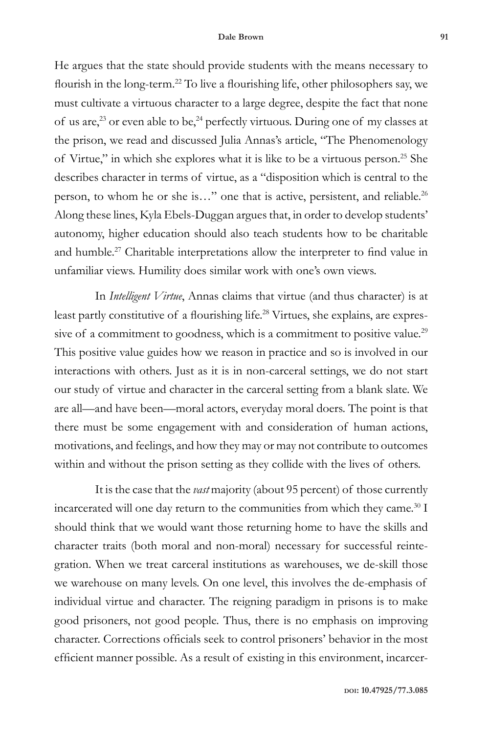He argues that the state should provide students with the means necessary to flourish in the long-term.<sup>22</sup> To live a flourishing life, other philosophers say, we must cultivate a virtuous character to a large degree, despite the fact that none of us are,<sup>23</sup> or even able to be,<sup>24</sup> perfectly virtuous. During one of my classes at the prison, we read and discussed Julia Annas's article, "The Phenomenology of Virtue," in which she explores what it is like to be a virtuous person.25 She describes character in terms of virtue, as a "disposition which is central to the person, to whom he or she is..." one that is active, persistent, and reliable.<sup>26</sup> Along these lines, Kyla Ebels-Duggan argues that, in order to develop students' autonomy, higher education should also teach students how to be charitable and humble.<sup>27</sup> Charitable interpretations allow the interpreter to find value in unfamiliar views. Humility does similar work with one's own views.

In *Intelligent Virtue*, Annas claims that virtue (and thus character) is at least partly constitutive of a flourishing life.<sup>28</sup> Virtues, she explains, are expressive of a commitment to goodness, which is a commitment to positive value.<sup>29</sup> This positive value guides how we reason in practice and so is involved in our interactions with others. Just as it is in non-carceral settings, we do not start our study of virtue and character in the carceral setting from a blank slate. We are all—and have been—moral actors, everyday moral doers. The point is that there must be some engagement with and consideration of human actions, motivations, and feelings, and how they may or may not contribute to outcomes within and without the prison setting as they collide with the lives of others.

It is the case that the *vast* majority (about 95 percent) of those currently incarcerated will one day return to the communities from which they came.<sup>30</sup> I should think that we would want those returning home to have the skills and character traits (both moral and non-moral) necessary for successful reintegration. When we treat carceral institutions as warehouses, we de-skill those we warehouse on many levels. On one level, this involves the de-emphasis of individual virtue and character. The reigning paradigm in prisons is to make good prisoners, not good people. Thus, there is no emphasis on improving character. Corrections officials seek to control prisoners' behavior in the most efficient manner possible. As a result of existing in this environment, incarcer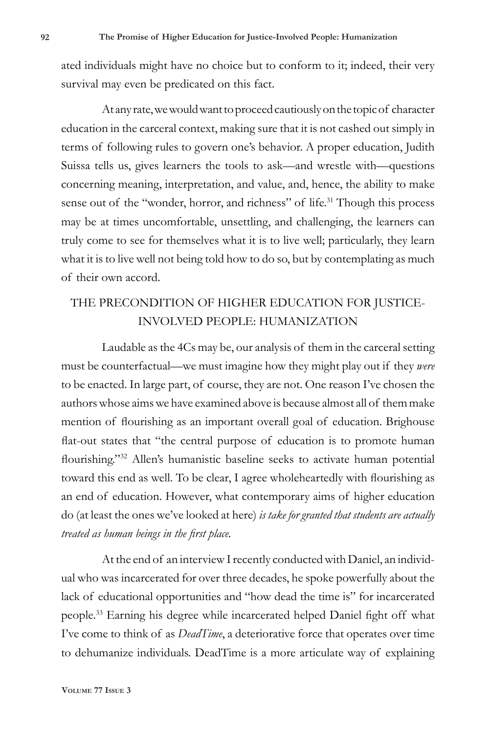ated individuals might have no choice but to conform to it; indeed, their very survival may even be predicated on this fact.

At any rate, we would want to proceed cautiously on the topic of character education in the carceral context, making sure that it is not cashed out simply in terms of following rules to govern one's behavior. A proper education, Judith Suissa tells us, gives learners the tools to ask—and wrestle with—questions concerning meaning, interpretation, and value, and, hence, the ability to make sense out of the "wonder, horror, and richness" of life.<sup>31</sup> Though this process may be at times uncomfortable, unsettling, and challenging, the learners can truly come to see for themselves what it is to live well; particularly, they learn what it is to live well not being told how to do so, but by contemplating as much of their own accord.

# THE PRECONDITION OF HIGHER EDUCATION FOR JUSTICE-INVOLVED PEOPLE: HUMANIZATION

Laudable as the 4Cs may be, our analysis of them in the carceral setting must be counterfactual—we must imagine how they might play out if they *were* to be enacted. In large part, of course, they are not. One reason I've chosen the authors whose aims we have examined above is because almost all of them make mention of flourishing as an important overall goal of education. Brighouse flat-out states that "the central purpose of education is to promote human flourishing."<sup>32</sup> Allen's humanistic baseline seeks to activate human potential toward this end as well. To be clear, I agree wholeheartedly with flourishing as an end of education. However, what contemporary aims of higher education do (at least the ones we've looked at here) *is take for granted that students are actually treated as human beings in the first place.*

At the end of an interview I recently conducted with Daniel, an individual who was incarcerated for over three decades, he spoke powerfully about the lack of educational opportunities and "how dead the time is" for incarcerated people.33 Earning his degree while incarcerated helped Daniel fight off what I've come to think of as *DeadTime*, a deteriorative force that operates over time to dehumanize individuals. DeadTime is a more articulate way of explaining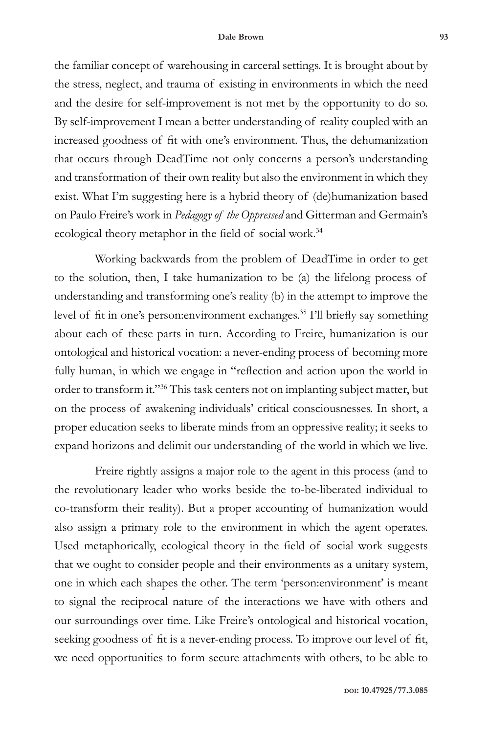the familiar concept of warehousing in carceral settings. It is brought about by the stress, neglect, and trauma of existing in environments in which the need and the desire for self-improvement is not met by the opportunity to do so. By self-improvement I mean a better understanding of reality coupled with an increased goodness of fit with one's environment. Thus, the dehumanization that occurs through DeadTime not only concerns a person's understanding and transformation of their own reality but also the environment in which they exist. What I'm suggesting here is a hybrid theory of (de)humanization based on Paulo Freire's work in *Pedagogy of the Oppressed* and Gitterman and Germain's ecological theory metaphor in the field of social work.<sup>34</sup>

Working backwards from the problem of DeadTime in order to get to the solution, then, I take humanization to be (a) the lifelong process of understanding and transforming one's reality (b) in the attempt to improve the level of fit in one's person:environment exchanges.<sup>35</sup> I'll briefly say something about each of these parts in turn. According to Freire, humanization is our ontological and historical vocation: a never-ending process of becoming more fully human, in which we engage in "reflection and action upon the world in order to transform it."36 This task centers not on implanting subject matter, but on the process of awakening individuals' critical consciousnesses. In short, a proper education seeks to liberate minds from an oppressive reality; it seeks to expand horizons and delimit our understanding of the world in which we live.

Freire rightly assigns a major role to the agent in this process (and to the revolutionary leader who works beside the to-be-liberated individual to co-transform their reality). But a proper accounting of humanization would also assign a primary role to the environment in which the agent operates. Used metaphorically, ecological theory in the field of social work suggests that we ought to consider people and their environments as a unitary system, one in which each shapes the other. The term 'person:environment' is meant to signal the reciprocal nature of the interactions we have with others and our surroundings over time. Like Freire's ontological and historical vocation, seeking goodness of fit is a never-ending process. To improve our level of fit, we need opportunities to form secure attachments with others, to be able to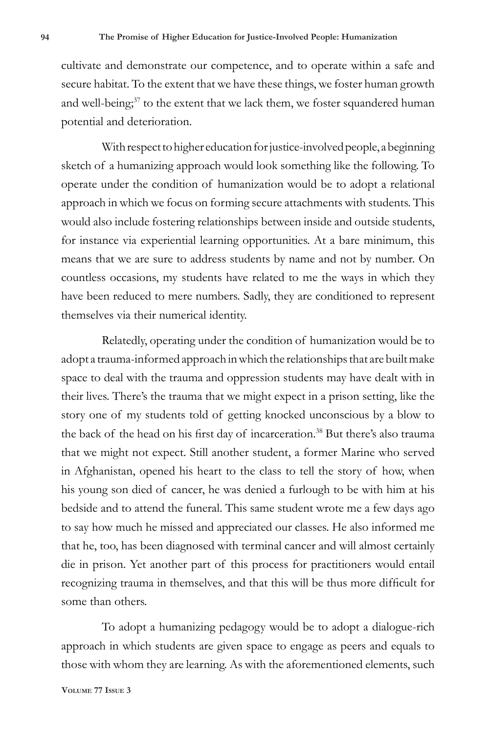cultivate and demonstrate our competence, and to operate within a safe and secure habitat. To the extent that we have these things, we foster human growth and well-being;<sup>37</sup> to the extent that we lack them, we foster squandered human potential and deterioration.

With respect to higher education for justice-involved people, a beginning sketch of a humanizing approach would look something like the following. To operate under the condition of humanization would be to adopt a relational approach in which we focus on forming secure attachments with students. This would also include fostering relationships between inside and outside students, for instance via experiential learning opportunities. At a bare minimum, this means that we are sure to address students by name and not by number. On countless occasions, my students have related to me the ways in which they have been reduced to mere numbers. Sadly, they are conditioned to represent themselves via their numerical identity.

Relatedly, operating under the condition of humanization would be to adopt a trauma-informed approach in which the relationships that are built make space to deal with the trauma and oppression students may have dealt with in their lives. There's the trauma that we might expect in a prison setting, like the story one of my students told of getting knocked unconscious by a blow to the back of the head on his first day of incarceration.<sup>38</sup> But there's also trauma that we might not expect. Still another student, a former Marine who served in Afghanistan, opened his heart to the class to tell the story of how, when his young son died of cancer, he was denied a furlough to be with him at his bedside and to attend the funeral. This same student wrote me a few days ago to say how much he missed and appreciated our classes. He also informed me that he, too, has been diagnosed with terminal cancer and will almost certainly die in prison. Yet another part of this process for practitioners would entail recognizing trauma in themselves, and that this will be thus more difficult for some than others.

To adopt a humanizing pedagogy would be to adopt a dialogue-rich approach in which students are given space to engage as peers and equals to those with whom they are learning. As with the aforementioned elements, such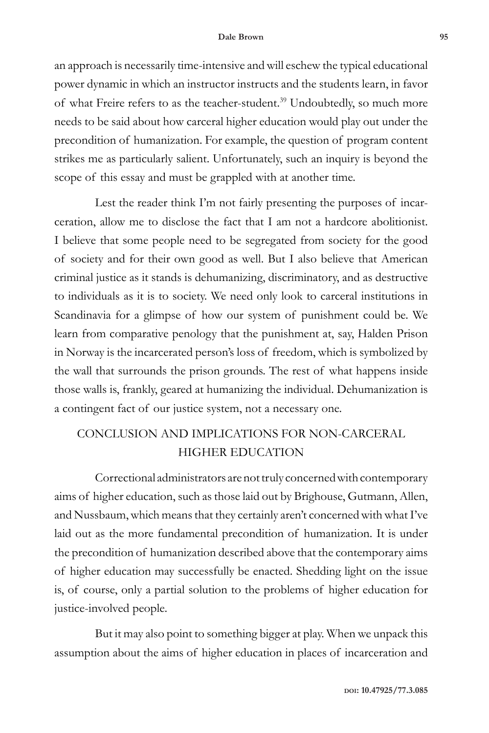#### **Dale Brown 95**

an approach is necessarily time-intensive and will eschew the typical educational power dynamic in which an instructor instructs and the students learn, in favor of what Freire refers to as the teacher-student.<sup>39</sup> Undoubtedly, so much more needs to be said about how carceral higher education would play out under the precondition of humanization. For example, the question of program content strikes me as particularly salient. Unfortunately, such an inquiry is beyond the scope of this essay and must be grappled with at another time.

Lest the reader think I'm not fairly presenting the purposes of incarceration, allow me to disclose the fact that I am not a hardcore abolitionist. I believe that some people need to be segregated from society for the good of society and for their own good as well. But I also believe that American criminal justice as it stands is dehumanizing, discriminatory, and as destructive to individuals as it is to society. We need only look to carceral institutions in Scandinavia for a glimpse of how our system of punishment could be. We learn from comparative penology that the punishment at, say, Halden Prison in Norway is the incarcerated person's loss of freedom, which is symbolized by the wall that surrounds the prison grounds. The rest of what happens inside those walls is, frankly, geared at humanizing the individual. Dehumanization is a contingent fact of our justice system, not a necessary one.

# CONCLUSION AND IMPLICATIONS FOR NON-CARCERAL HIGHER EDUCATION

Correctional administrators are not truly concerned with contemporary aims of higher education, such as those laid out by Brighouse, Gutmann, Allen, and Nussbaum, which means that they certainly aren't concerned with what I've laid out as the more fundamental precondition of humanization. It is under the precondition of humanization described above that the contemporary aims of higher education may successfully be enacted. Shedding light on the issue is, of course, only a partial solution to the problems of higher education for justice-involved people.

But it may also point to something bigger at play. When we unpack this assumption about the aims of higher education in places of incarceration and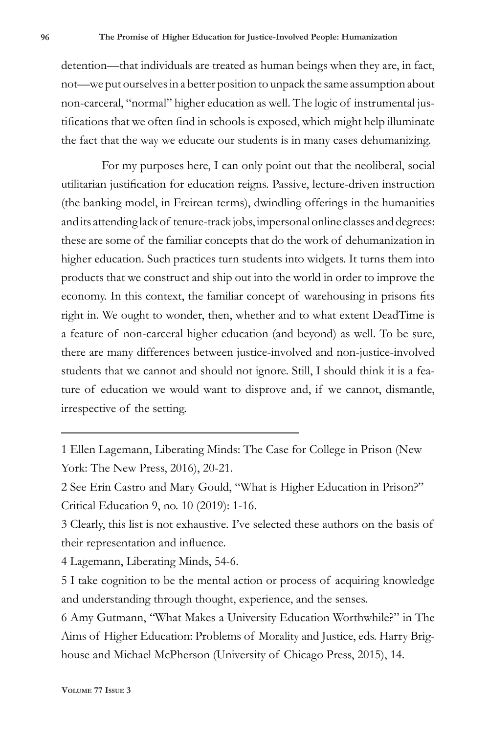detention—that individuals are treated as human beings when they are, in fact, not—we put ourselves in a better position to unpack the same assumption about non-carceral, "normal" higher education as well. The logic of instrumental justifications that we often find in schools is exposed, which might help illuminate the fact that the way we educate our students is in many cases dehumanizing.

For my purposes here, I can only point out that the neoliberal, social utilitarian justification for education reigns. Passive, lecture-driven instruction (the banking model, in Freirean terms), dwindling offerings in the humanities and its attending lack of tenure-track jobs, impersonal online classes and degrees: these are some of the familiar concepts that do the work of dehumanization in higher education. Such practices turn students into widgets. It turns them into products that we construct and ship out into the world in order to improve the economy. In this context, the familiar concept of warehousing in prisons fits right in. We ought to wonder, then, whether and to what extent DeadTime is a feature of non-carceral higher education (and beyond) as well. To be sure, there are many differences between justice-involved and non-justice-involved students that we cannot and should not ignore. Still, I should think it is a feature of education we would want to disprove and, if we cannot, dismantle, irrespective of the setting.

1 Ellen Lagemann, Liberating Minds: The Case for College in Prison (New York: The New Press, 2016), 20-21.

3 Clearly, this list is not exhaustive. I've selected these authors on the basis of their representation and influence.

4 Lagemann, Liberating Minds, 54-6.

5 I take cognition to be the mental action or process of acquiring knowledge and understanding through thought, experience, and the senses.

6 Amy Gutmann, "What Makes a University Education Worthwhile?" in The Aims of Higher Education: Problems of Morality and Justice, eds. Harry Brighouse and Michael McPherson (University of Chicago Press, 2015), 14.

<sup>2</sup> See Erin Castro and Mary Gould, "What is Higher Education in Prison?" Critical Education 9, no. 10 (2019): 1-16.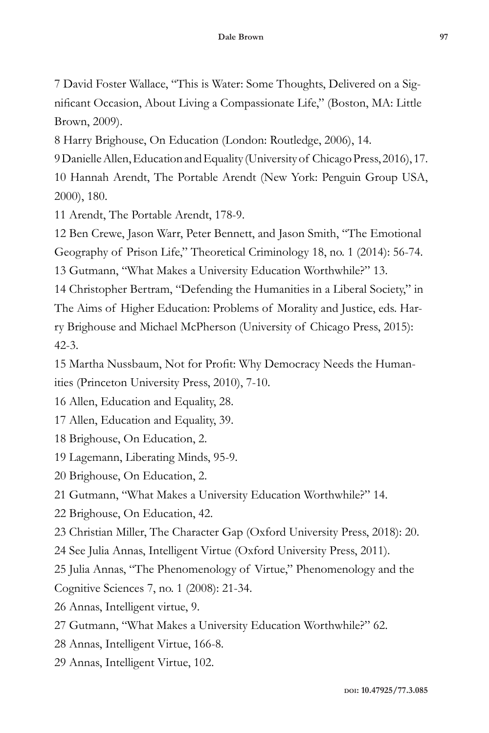7 David Foster Wallace, "This is Water: Some Thoughts, Delivered on a Significant Occasion, About Living a Compassionate Life," (Boston, MA: Little Brown, 2009).

8 Harry Brighouse, On Education (London: Routledge, 2006), 14.

9 Danielle Allen, Education and Equality (University of Chicago Press, 2016), 17.

10 Hannah Arendt, The Portable Arendt (New York: Penguin Group USA, 2000), 180.

11 Arendt, The Portable Arendt, 178-9.

12 Ben Crewe, Jason Warr, Peter Bennett, and Jason Smith, "The Emotional Geography of Prison Life," Theoretical Criminology 18, no. 1 (2014): 56-74. 13 Gutmann, "What Makes a University Education Worthwhile?" 13.

14 Christopher Bertram, "Defending the Humanities in a Liberal Society," in The Aims of Higher Education: Problems of Morality and Justice, eds. Harry Brighouse and Michael McPherson (University of Chicago Press, 2015): 42-3.

15 Martha Nussbaum, Not for Profit: Why Democracy Needs the Humanities (Princeton University Press, 2010), 7-10.

16 Allen, Education and Equality, 28.

17 Allen, Education and Equality, 39.

18 Brighouse, On Education, 2.

19 Lagemann, Liberating Minds, 95-9.

20 Brighouse, On Education, 2.

21 Gutmann, "What Makes a University Education Worthwhile?" 14.

22 Brighouse, On Education, 42.

23 Christian Miller, The Character Gap (Oxford University Press, 2018): 20.

24 See Julia Annas, Intelligent Virtue (Oxford University Press, 2011).

25 Julia Annas, "The Phenomenology of Virtue," Phenomenology and the

Cognitive Sciences 7, no. 1 (2008): 21-34.

26 Annas, Intelligent virtue, 9.

27 Gutmann, "What Makes a University Education Worthwhile?" 62.

28 Annas, Intelligent Virtue, 166-8.

29 Annas, Intelligent Virtue, 102.